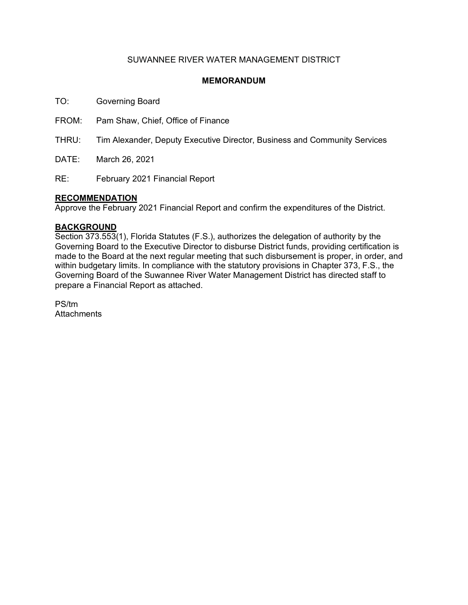## SUWANNEE RIVER WATER MANAGEMENT DISTRICT

## **MEMORANDUM**

TO: Governing Board

FROM: Pam Shaw, Chief, Office of Finance

THRU: Tim Alexander, Deputy Executive Director, Business and Community Services

DATE: March 26, 2021

RE: February 2021 Financial Report

### **RECOMMENDATION**

Approve the February 2021 Financial Report and confirm the expenditures of the District.

### **BACKGROUND**

Section 373.553(1), Florida Statutes (F.S.), authorizes the delegation of authority by the Governing Board to the Executive Director to disburse District funds, providing certification is made to the Board at the next regular meeting that such disbursement is proper, in order, and within budgetary limits. In compliance with the statutory provisions in Chapter 373, F.S., the Governing Board of the Suwannee River Water Management District has directed staff to prepare a Financial Report as attached.

PS/tm **Attachments**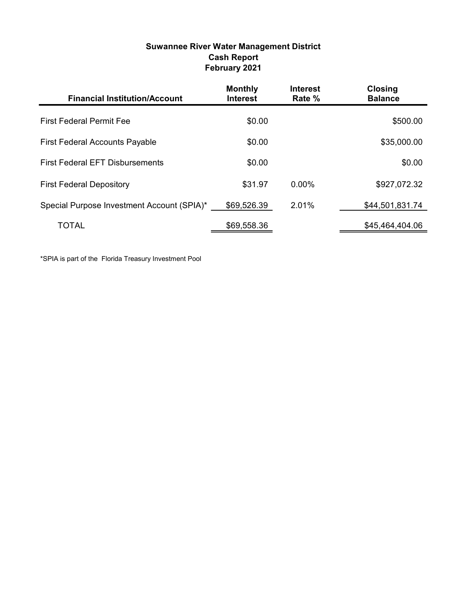| Suwannee River Water Management District |  |
|------------------------------------------|--|
| <b>Cash Report</b>                       |  |
| February 2021                            |  |

| <b>Financial Institution/Account</b>       | <b>Monthly</b><br><b>Interest</b> | <b>Interest</b><br>Rate % | <b>Closing</b><br><b>Balance</b> |
|--------------------------------------------|-----------------------------------|---------------------------|----------------------------------|
| <b>First Federal Permit Fee</b>            | \$0.00                            |                           | \$500.00                         |
| <b>First Federal Accounts Payable</b>      | \$0.00                            |                           | \$35,000.00                      |
| <b>First Federal EFT Disbursements</b>     | \$0.00                            |                           | \$0.00                           |
| <b>First Federal Depository</b>            | \$31.97                           | $0.00\%$                  | \$927,072.32                     |
| Special Purpose Investment Account (SPIA)* | \$69,526.39                       | 2.01%                     | \$44,501,831.74                  |
| <b>TOTAL</b>                               | \$69,558.36                       |                           | \$45,464,404.06                  |

\*SPIA is part of the Florida Treasury Investment Pool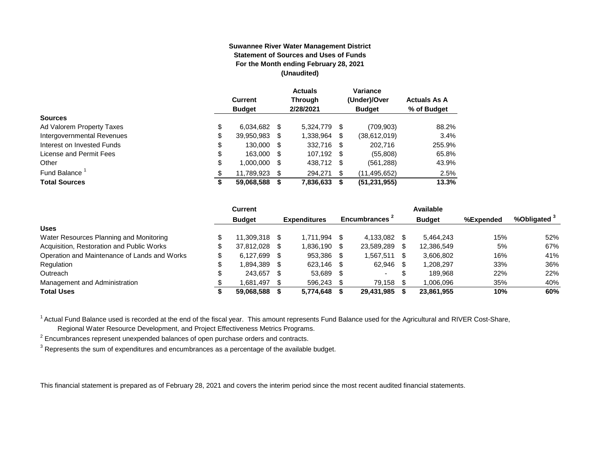#### **Suwannee River Water Management District Statement of Sources and Uses of Funds For the Month ending February 28, 2021 (Unaudited)**

|                                  | <b>Current</b><br><b>Budget</b> |      | <b>Actuals</b><br><b>Through</b><br>2/28/2021 |      | Variance<br>(Under)/Over<br><b>Budget</b> | <b>Actuals As A</b><br>% of Budget |
|----------------------------------|---------------------------------|------|-----------------------------------------------|------|-------------------------------------------|------------------------------------|
| <b>Sources</b>                   |                                 |      |                                               |      |                                           |                                    |
| \$<br>Ad Valorem Property Taxes  | 6,034,682                       | - \$ | 5.324.779                                     | \$.  | (709, 903)                                | 88.2%                              |
| \$<br>Intergovernmental Revenues | 39,950,983                      | S    | 1,338,964                                     | \$   | (38,612,019)                              | 3.4%                               |
| \$<br>Interest on Invested Funds | 130.000                         | - \$ | 332,716                                       | - \$ | 202,716                                   | 255.9%                             |
| \$<br>License and Permit Fees    | 163,000                         | - \$ | 107,192 \$                                    |      | (55,808)                                  | 65.8%                              |
| \$<br>Other                      | 1.000.000                       | S    | 438,712                                       | - \$ | (561, 288)                                | 43.9%                              |
| Fund Balance <sup>1</sup><br>\$  | 11.789.923                      | S    | 294.271                                       | \$.  | (11, 495, 652)                            | 2.5%                               |
| <b>Total Sources</b><br>œ<br>⊅   | 59,068,588                      |      | 7,836,633                                     | S    | (51, 231, 955)                            | 13.3%                              |

|                                              | Current       |      |                     |      |                           |   | Available     |           |                         |
|----------------------------------------------|---------------|------|---------------------|------|---------------------------|---|---------------|-----------|-------------------------|
|                                              | <b>Budget</b> |      | <b>Expenditures</b> |      | Encumbrances <sup>2</sup> |   | <b>Budget</b> | %Expended | %Obligated <sup>3</sup> |
| <b>Uses</b>                                  |               |      |                     |      |                           |   |               |           |                         |
| Water Resources Planning and Monitoring      | 11.309.318 \$ |      | 1.711.994           | - \$ | 4.133.082                 |   | 5.464.243     | 15%       | 52%                     |
| Acquisition, Restoration and Public Works    | 37.812.028    | - \$ | 1,836,190           | -S   | 23,589,289                |   | 12,386,549    | 5%        | 67%                     |
| Operation and Maintenance of Lands and Works | 6.127.699     | - \$ | 953,386             | - \$ | 1.567.511                 |   | 3,606,802     | 16%       | 41%                     |
| Regulation                                   | 1,894,389     | - \$ | 623,146             |      | 62,946                    |   | 1,208,297     | 33%       | 36%                     |
| Outreach                                     | 243.657       | - \$ | 53.689              | -S   |                           | Œ | 189.968       | 22%       | 22%                     |
| Management and Administration                | 1.681.497     | - \$ | 596.243             |      | 79,158                    |   | 1.006.096     | 35%       | 40%                     |
| <b>Total Uses</b>                            | 59.068.588    |      | 5.774.648           |      | 29,431,985                |   | 23,861,955    | 10%       | 60%                     |

<sup>1</sup> Actual Fund Balance used is recorded at the end of the fiscal year. This amount represents Fund Balance used for the Agricultural and RIVER Cost-Share,

Regional Water Resource Development, and Project Effectiveness Metrics Programs.

 $2$  Encumbrances represent unexpended balances of open purchase orders and contracts.

 $^3$  Represents the sum of expenditures and encumbrances as a percentage of the available budget.

This financial statement is prepared as of February 28, 2021 and covers the interim period since the most recent audited financial statements.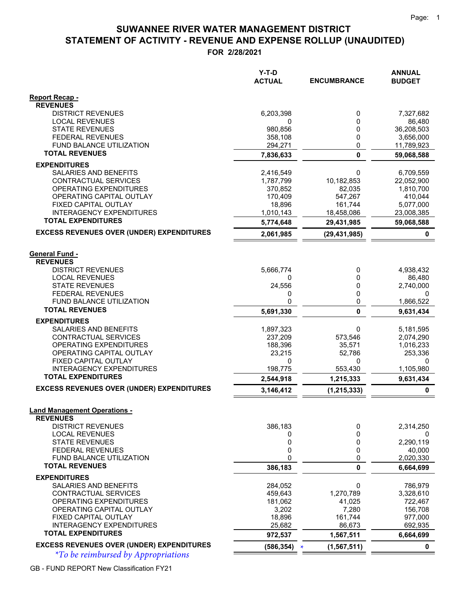# **STATEMENT OF ACTIVITY - REVENUE AND EXPENSE ROLLUP (UNAUDITED) SUWANNEE RIVER WATER MANAGEMENT DISTRICT**

**FOR 2/28/2021**

|                                                              | $Y-T-D$<br><b>ACTUAL</b> | <b>ENCUMBRANCE</b>      | <b>ANNUAL</b><br><b>BUDGET</b> |
|--------------------------------------------------------------|--------------------------|-------------------------|--------------------------------|
|                                                              |                          |                         |                                |
| <b>Report Recap -</b><br><b>REVENUES</b>                     |                          |                         |                                |
| <b>DISTRICT REVENUES</b>                                     | 6,203,398                | 0                       | 7,327,682                      |
| <b>LOCAL REVENUES</b>                                        | 0                        | 0                       | 86,480                         |
| <b>STATE REVENUES</b>                                        | 980,856                  | 0                       | 36,208,503                     |
| <b>FEDERAL REVENUES</b>                                      | 358,108                  | 0                       | 3,656,000                      |
| FUND BALANCE UTILIZATION<br><b>TOTAL REVENUES</b>            | 294,271                  | 0                       | 11,789,923                     |
|                                                              | 7,836,633                | $\mathbf{0}$            | 59,068,588                     |
| <b>EXPENDITURES</b><br><b>SALARIES AND BENEFITS</b>          | 2,416,549                | 0                       | 6,709,559                      |
| CONTRACTUAL SERVICES                                         | 1,787,799                | 10,182,853              | 22,052,900                     |
| OPERATING EXPENDITURES                                       | 370,852                  | 82,035                  | 1,810,700                      |
| OPERATING CAPITAL OUTLAY                                     | 170,409                  | 547,267                 | 410,044                        |
| FIXED CAPITAL OUTLAY                                         | 18,896                   | 161,744                 | 5,077,000                      |
| <b>INTERAGENCY EXPENDITURES</b><br><b>TOTAL EXPENDITURES</b> | 1,010,143                | 18,458,086              | 23,008,385                     |
|                                                              | 5,774,648                | 29,431,985              | 59,068,588                     |
| <b>EXCESS REVENUES OVER (UNDER) EXPENDITURES</b>             | 2,061,985                | (29, 431, 985)          | 0                              |
| <b>General Fund -</b>                                        |                          |                         |                                |
| <b>REVENUES</b>                                              |                          |                         |                                |
| <b>DISTRICT REVENUES</b>                                     | 5,666,774                | 0                       | 4,938,432                      |
| <b>LOCAL REVENUES</b>                                        | 0                        | 0                       | 86,480                         |
| <b>STATE REVENUES</b>                                        | 24,556                   | 0<br>0                  | 2,740,000                      |
| <b>FEDERAL REVENUES</b><br><b>FUND BALANCE UTILIZATION</b>   | 0<br>0                   | 0                       | 0<br>1,866,522                 |
| <b>TOTAL REVENUES</b>                                        | 5,691,330                | 0                       | 9,631,434                      |
| <b>EXPENDITURES</b>                                          |                          |                         |                                |
| SALARIES AND BENEFITS                                        | 1,897,323                | 0                       | 5,181,595                      |
| CONTRACTUAL SERVICES                                         | 237,209                  | 573,546                 | 2,074,290                      |
| OPERATING EXPENDITURES                                       | 188,396                  | 35,571                  | 1,016,233                      |
| OPERATING CAPITAL OUTLAY<br>FIXED CAPITAL OUTLAY             | 23,215<br>0              | 52,786<br>0             | 253,336<br>0                   |
| <b>INTERAGENCY EXPENDITURES</b>                              | 198,775                  | 553,430                 | 1,105,980                      |
| <b>TOTAL EXPENDITURES</b>                                    | 2,544,918                | 1,215,333               | 9,631,434                      |
| <b>EXCESS REVENUES OVER (UNDER) EXPENDITURES</b>             | 3,146,412                | (1, 215, 333)           | 0                              |
|                                                              |                          |                         |                                |
| <b>Land Management Operations -</b><br><b>REVENUES</b>       |                          |                         |                                |
| <b>DISTRICT REVENUES</b>                                     | 386,183                  | 0                       | 2,314,250                      |
| <b>LOCAL REVENUES</b>                                        | 0                        | 0                       | 0                              |
| <b>STATE REVENUES</b>                                        | 0                        | 0                       | 2,290,119                      |
| <b>FEDERAL REVENUES</b>                                      | 0                        | 0                       | 40,000                         |
| FUND BALANCE UTILIZATION<br><b>TOTAL REVENUES</b>            | $\mathbf{0}$<br>386,183  | 0<br>0                  | 2,020,330<br>6,664,699         |
| <b>EXPENDITURES</b>                                          |                          |                         |                                |
| SALARIES AND BENEFITS                                        | 284,052                  | 0                       | 786,979                        |
| CONTRACTUAL SERVICES                                         | 459,643                  | 1,270,789               | 3,328,610                      |
| OPERATING EXPENDITURES                                       | 181,062                  | 41,025                  | 722,467                        |
| OPERATING CAPITAL OUTLAY                                     | 3,202                    | 7,280                   | 156,708                        |
| FIXED CAPITAL OUTLAY<br><b>INTERAGENCY EXPENDITURES</b>      | 18,896<br>25,682         | 161,744<br>86,673       | 977,000<br>692,935             |
| <b>TOTAL EXPENDITURES</b>                                    | 972,537                  | 1,567,511               | 6,664,699                      |
| <b>EXCESS REVENUES OVER (UNDER) EXPENDITURES</b>             | (586, 354)               | (1, 567, 511)<br>$\ast$ | 0                              |
|                                                              |                          |                         |                                |

*\*To be reimbursed by Appropriations \**

GB - FUND REPORT New Classification FY21